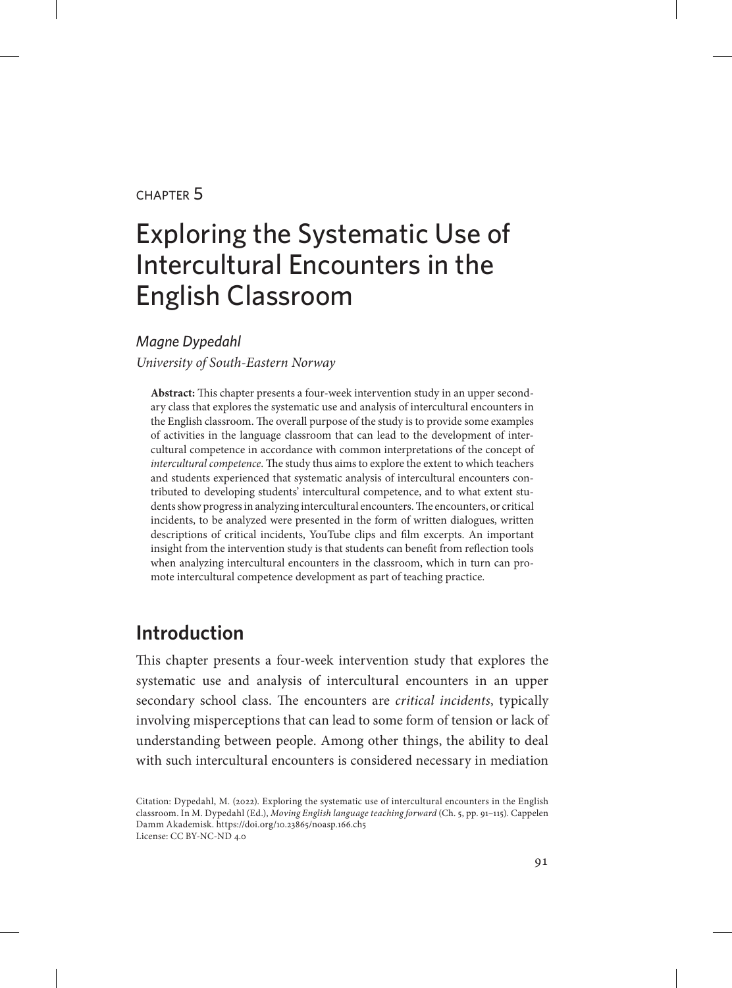#### chapter 5

# Exploring the Systematic Use of Intercultural Encounters in the English Classroom

#### *Magne Dypedahl*

*University of South-Eastern Norway*

**Abstract:** This chapter presents a four-week intervention study in an upper secondary class that explores the systematic use and analysis of intercultural encounters in the English classroom. The overall purpose of the study is to provide some examples of activities in the language classroom that can lead to the development of intercultural competence in accordance with common interpretations of the concept of *intercultural competence*. The study thus aims to explore the extent to which teachers and students experienced that systematic analysis of intercultural encounters contributed to developing students' intercultural competence, and to what extent students show progress in analyzing intercultural encounters. The encounters, or critical incidents, to be analyzed were presented in the form of written dialogues, written descriptions of critical incidents, YouTube clips and film excerpts. An important insight from the intervention study is that students can benefit from reflection tools when analyzing intercultural encounters in the classroom, which in turn can promote intercultural competence development as part of teaching practice.

# **Introduction**

This chapter presents a four-week intervention study that explores the systematic use and analysis of intercultural encounters in an upper secondary school class. The encounters are *critical incidents*, typically involving misperceptions that can lead to some form of tension or lack of understanding between people. Among other things, the ability to deal with such intercultural encounters is considered necessary in mediation

Citation: Dypedahl, M. (2022). Exploring the systematic use of intercultural encounters in the English classroom. In M. Dypedahl (Ed.), *Moving English language teaching forward* (Ch. 5, pp. 91–115). Cappelen Damm Akademisk. https://doi.org/10.23865/noasp.166.ch5 License: CC BY-NC-ND 4.0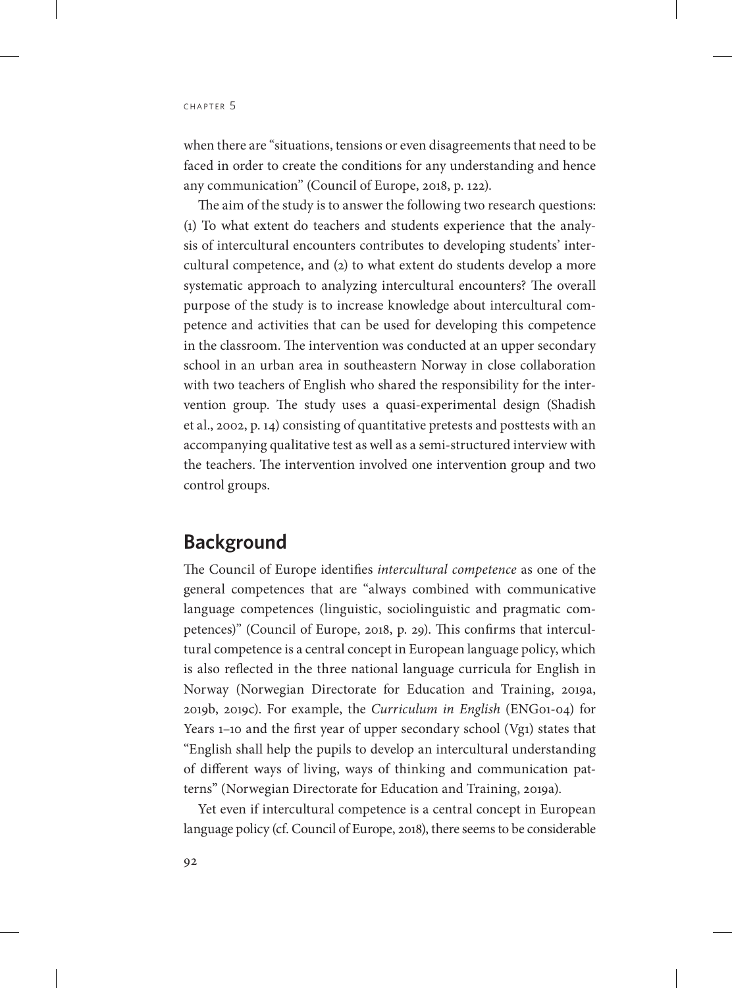when there are "situations, tensions or even disagreements that need to be faced in order to create the conditions for any understanding and hence any communication" (Council of Europe, 2018, p. 122).

The aim of the study is to answer the following two research questions: (1) To what extent do teachers and students experience that the analysis of intercultural encounters contributes to developing students' intercultural competence, and (2) to what extent do students develop a more systematic approach to analyzing intercultural encounters? The overall purpose of the study is to increase knowledge about intercultural competence and activities that can be used for developing this competence in the classroom. The intervention was conducted at an upper secondary school in an urban area in southeastern Norway in close collaboration with two teachers of English who shared the responsibility for the intervention group. The study uses a quasi-experimental design (Shadish et al., 2002, p. 14) consisting of quantitative pretests and posttests with an accompanying qualitative test as well as a semi-structured interview with the teachers. The intervention involved one intervention group and two control groups.

# **Background**

The Council of Europe identifies *intercultural competence* as one of the general competences that are "always combined with communicative language competences (linguistic, sociolinguistic and pragmatic competences)" (Council of Europe, 2018, p. 29). This confirms that intercultural competence is a central concept in European language policy, which is also reflected in the three national language curricula for English in Norway (Norwegian Directorate for Education and Training, 2019a, 2019b, 2019c). For example, the *Curriculum in English* (ENG01-04) for Years 1–10 and the first year of upper secondary school (Vg1) states that "English shall help the pupils to develop an intercultural understanding of different ways of living, ways of thinking and communication patterns" (Norwegian Directorate for Education and Training, 2019a).

Yet even if intercultural competence is a central concept in European language policy (cf. Council of Europe, 2018), there seems to be considerable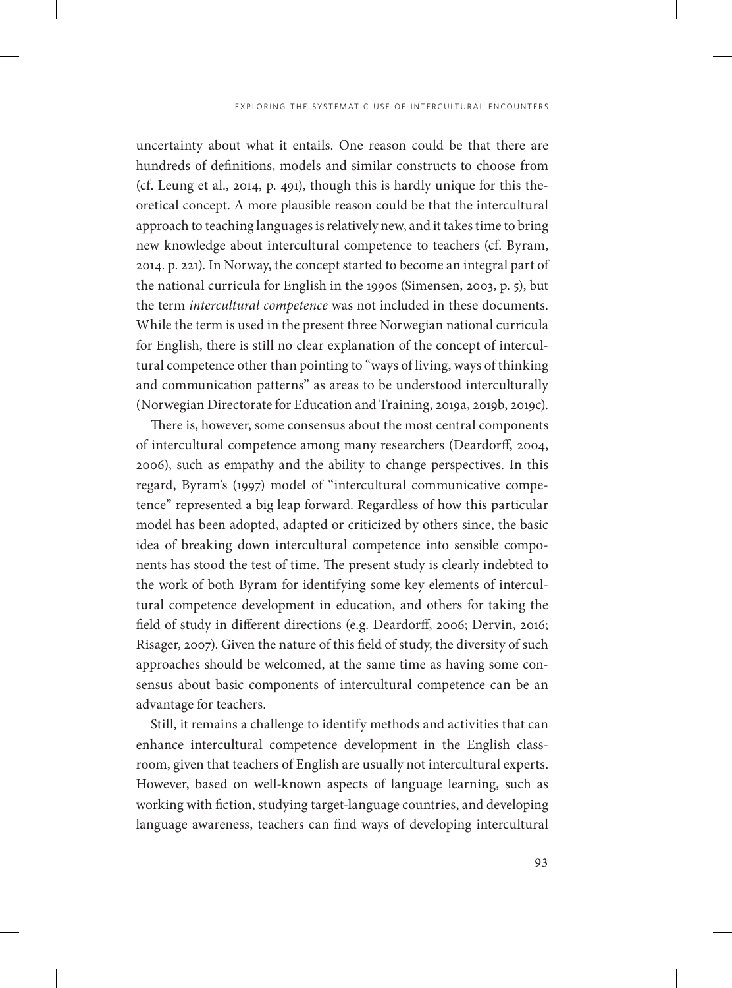uncertainty about what it entails. One reason could be that there are hundreds of definitions, models and similar constructs to choose from (cf. Leung et al., 2014, p. 491), though this is hardly unique for this theoretical concept. A more plausible reason could be that the intercultural approach to teaching languages is relatively new, and it takes time to bring new knowledge about intercultural competence to teachers (cf. Byram, 2014. p. 221). In Norway, the concept started to become an integral part of the national curricula for English in the 1990s (Simensen, 2003, p. 5), but the term *intercultural competence* was not included in these documents. While the term is used in the present three Norwegian national curricula for English, there is still no clear explanation of the concept of intercultural competence other than pointing to "ways of living, ways of thinking and communication patterns" as areas to be understood interculturally (Norwegian Directorate for Education and Training, 2019a, 2019b, 2019c).

There is, however, some consensus about the most central components of intercultural competence among many researchers (Deardorff, 2004, 2006), such as empathy and the ability to change perspectives. In this regard, Byram's (1997) model of "intercultural communicative competence" represented a big leap forward. Regardless of how this particular model has been adopted, adapted or criticized by others since, the basic idea of breaking down intercultural competence into sensible components has stood the test of time. The present study is clearly indebted to the work of both Byram for identifying some key elements of intercultural competence development in education, and others for taking the field of study in different directions (e.g. Deardorff, 2006; Dervin, 2016; Risager, 2007). Given the nature of this field of study, the diversity of such approaches should be welcomed, at the same time as having some consensus about basic components of intercultural competence can be an advantage for teachers.

Still, it remains a challenge to identify methods and activities that can enhance intercultural competence development in the English classroom, given that teachers of English are usually not intercultural experts. However, based on well-known aspects of language learning, such as working with fiction, studying target-language countries, and developing language awareness, teachers can find ways of developing intercultural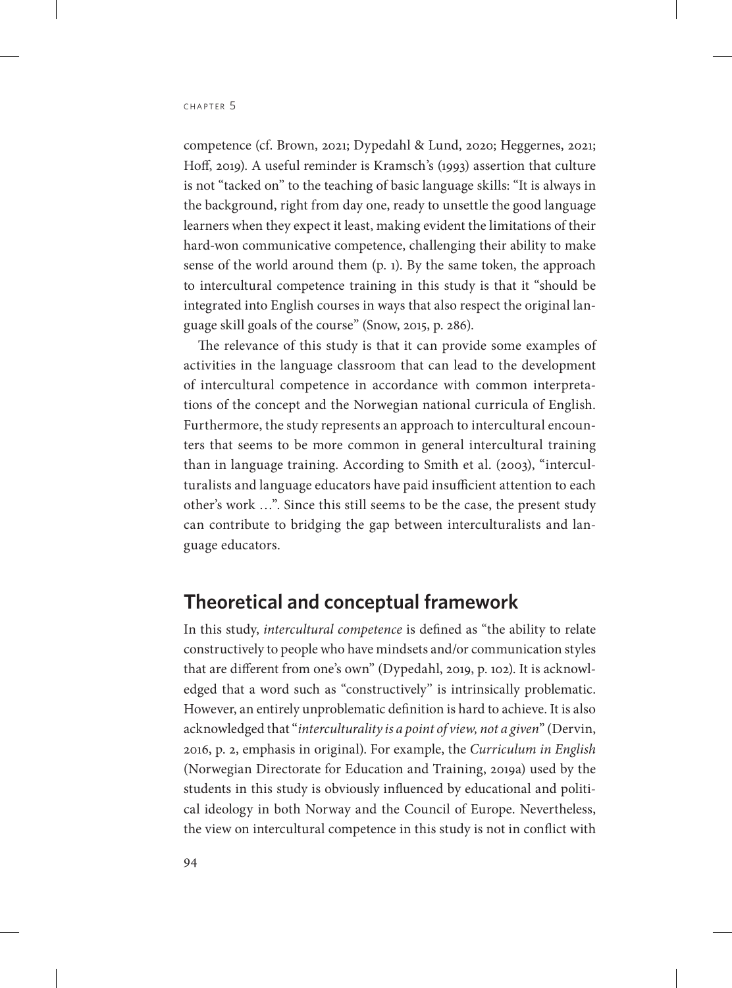competence (cf. Brown, 2021; Dypedahl & Lund, 2020; Heggernes, 2021; Hoff, 2019). A useful reminder is Kramsch's (1993) assertion that culture is not "tacked on" to the teaching of basic language skills: "It is always in the background, right from day one, ready to unsettle the good language learners when they expect it least, making evident the limitations of their hard-won communicative competence, challenging their ability to make sense of the world around them (p. 1). By the same token, the approach to intercultural competence training in this study is that it "should be integrated into English courses in ways that also respect the original language skill goals of the course" (Snow, 2015, p. 286).

The relevance of this study is that it can provide some examples of activities in the language classroom that can lead to the development of intercultural competence in accordance with common interpretations of the concept and the Norwegian national curricula of English. Furthermore, the study represents an approach to intercultural encounters that seems to be more common in general intercultural training than in language training. According to Smith et al. (2003), "interculturalists and language educators have paid insufficient attention to each other's work …". Since this still seems to be the case, the present study can contribute to bridging the gap between interculturalists and language educators.

# **Theoretical and conceptual framework**

In this study, *intercultural competence* is defined as "the ability to relate constructively to people who have mindsets and/or communication styles that are different from one's own" (Dypedahl, 2019, p. 102). It is acknowledged that a word such as "constructively" is intrinsically problematic. However, an entirely unproblematic definition is hard to achieve. It is also acknowledged that "*interculturality is a point of view, not a given*" (Dervin, 2016, p. 2, emphasis in original). For example, the *Curriculum in English*  (Norwegian Directorate for Education and Training, 2019a) used by the students in this study is obviously influenced by educational and political ideology in both Norway and the Council of Europe. Nevertheless, the view on intercultural competence in this study is not in conflict with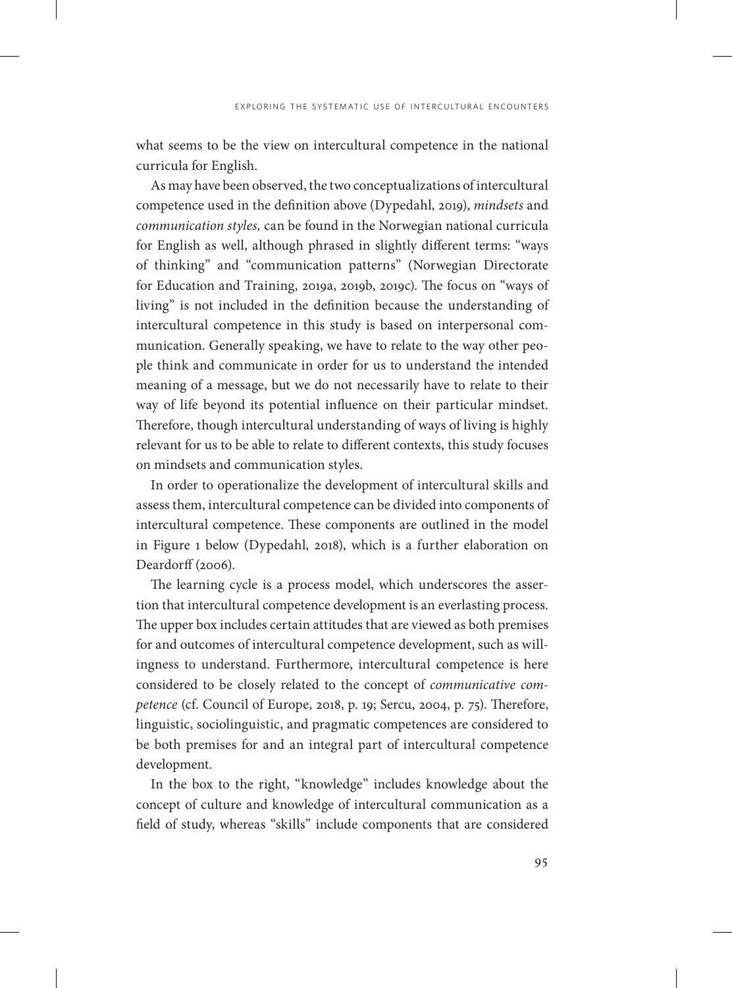what seems to be the view on intercultural competence in the national curricula for English.

As may have been observed, the two conceptualizations of intercultural competence used in the definition above (Dypedahl, 2019), *mindsets* and *communication styles,* can be found in the Norwegian national curricula for English as well, although phrased in slightly different terms: "ways of thinking" and "communication patterns" (Norwegian Directorate for Education and Training, 2019a, 2019b, 2019c). The focus on "ways of living" is not included in the definition because the understanding of intercultural competence in this study is based on interpersonal communication. Generally speaking, we have to relate to the way other people think and communicate in order for us to understand the intended meaning of a message, but we do not necessarily have to relate to their way of life beyond its potential influence on their particular mindset. Therefore, though intercultural understanding of ways of living is highly relevant for us to be able to relate to different contexts, this study focuses on mindsets and communication styles.

In order to operationalize the development of intercultural skills and assess them, intercultural competence can be divided into components of intercultural competence. These components are outlined in the model in Figure 1 below (Dypedahl, 2018), which is a further elaboration on Deardorff (2006).

The learning cycle is a process model, which underscores the assertion that intercultural competence development is an everlasting process. The upper box includes certain attitudes that are viewed as both premises for and outcomes of intercultural competence development, such as willingness to understand. Furthermore, intercultural competence is here considered to be closely related to the concept of *communicative competence* (cf. Council of Europe, 2018, p. 19; Sercu, 2004, p. 75). Therefore, linguistic, sociolinguistic, and pragmatic competences are considered to be both premises for and an integral part of intercultural competence development.

In the box to the right, "knowledge" includes knowledge about the concept of culture and knowledge of intercultural communication as a field of study, whereas "skills" include components that are considered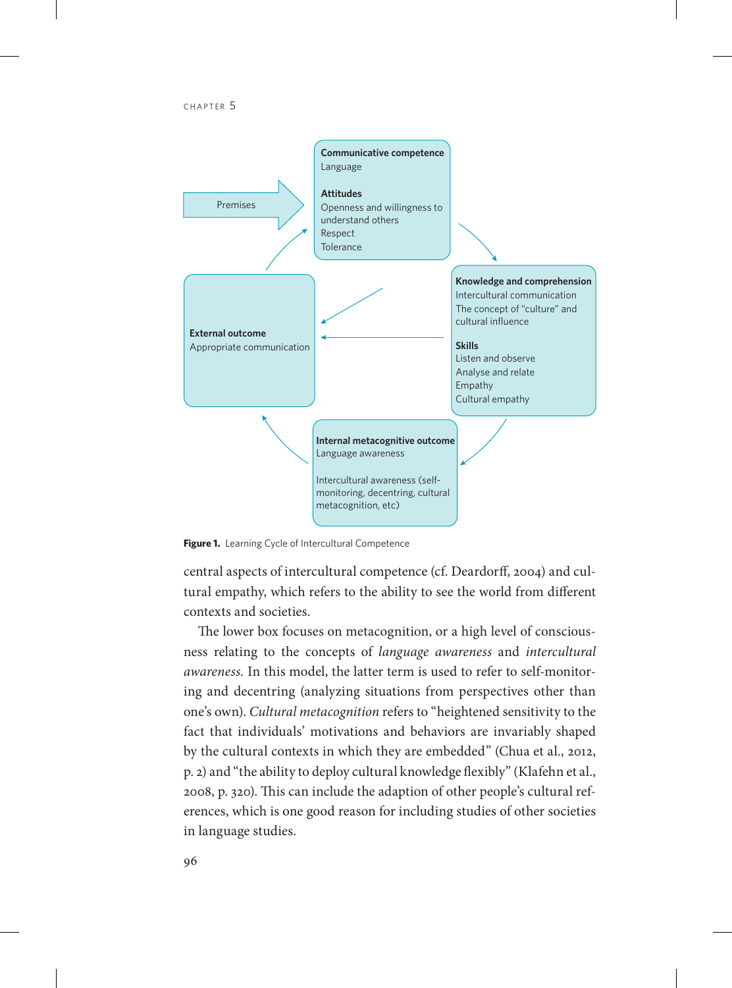

**Figure 1.** Learning Cycle of Intercultural Competence

central aspects of intercultural competence (cf. Deardorff, 2004) and cultural empathy, which refers to the ability to see the world from different contexts and societies.

The lower box focuses on metacognition, or a high level of consciousness relating to the concepts of *language awareness* and *intercultural awareness.* In this model, the latter term is used to refer to self-monitoring and decentring (analyzing situations from perspectives other than one's own). *Cultural metacognition* refers to "heightened sensitivity to the fact that individuals' motivations and behaviors are invariably shaped by the cultural contexts in which they are embedded" (Chua et al., 2012, p. 2) and "the ability to deploy cultural knowledge flexibly" (Klafehn et al., 2008, p. 320). This can include the adaption of other people's cultural references, which is one good reason for including studies of other societies in language studies.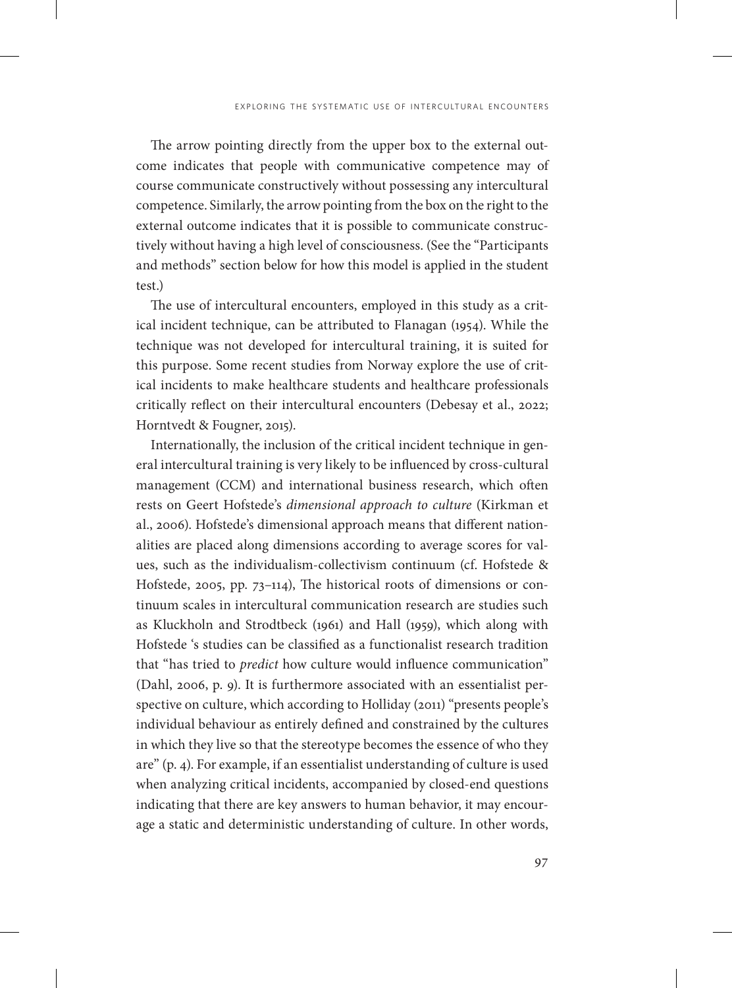The arrow pointing directly from the upper box to the external outcome indicates that people with communicative competence may of course communicate constructively without possessing any intercultural competence. Similarly, the arrow pointing from the box on the right to the external outcome indicates that it is possible to communicate constructively without having a high level of consciousness. (See the "Participants and methods" section below for how this model is applied in the student test.)

The use of intercultural encounters, employed in this study as a critical incident technique, can be attributed to Flanagan (1954). While the technique was not developed for intercultural training, it is suited for this purpose. Some recent studies from Norway explore the use of critical incidents to make healthcare students and healthcare professionals critically reflect on their intercultural encounters (Debesay et al., 2022; Horntvedt & Fougner, 2015).

Internationally, the inclusion of the critical incident technique in general intercultural training is very likely to be influenced by cross-cultural management (CCM) and international business research, which often rests on Geert Hofstede's *dimensional approach to culture* (Kirkman et al., 2006). Hofstede's dimensional approach means that different nationalities are placed along dimensions according to average scores for values, such as the individualism-collectivism continuum (cf. Hofstede & Hofstede, 2005, pp. 73–114), The historical roots of dimensions or continuum scales in intercultural communication research are studies such as Kluckholn and Strodtbeck (1961) and Hall (1959), which along with Hofstede 's studies can be classified as a functionalist research tradition that "has tried to *predict* how culture would influence communication" (Dahl, 2006, p. 9). It is furthermore associated with an essentialist perspective on culture, which according to Holliday (2011) "presents people's individual behaviour as entirely defined and constrained by the cultures in which they live so that the stereotype becomes the essence of who they are" (p. 4). For example, if an essentialist understanding of culture is used when analyzing critical incidents, accompanied by closed-end questions indicating that there are key answers to human behavior, it may encourage a static and deterministic understanding of culture. In other words,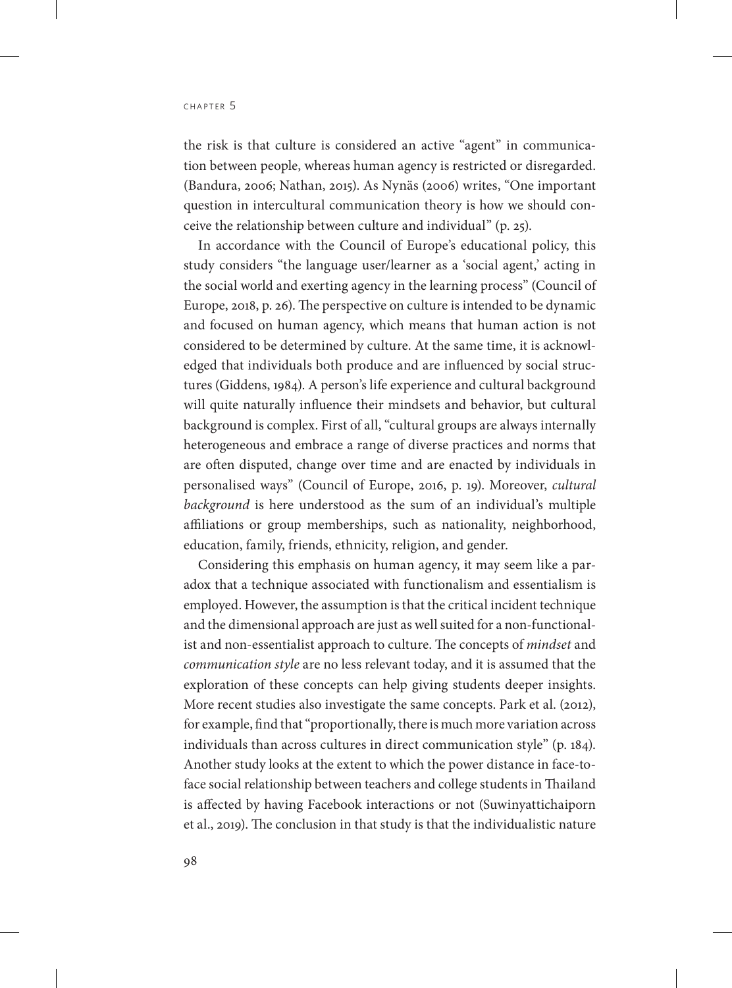the risk is that culture is considered an active "agent" in communication between people, whereas human agency is restricted or disregarded. (Bandura, 2006; Nathan, 2015). As Nynäs (2006) writes, "One important question in intercultural communication theory is how we should conceive the relationship between culture and individual" (p. 25).

In accordance with the Council of Europe's educational policy, this study considers "the language user/learner as a 'social agent,' acting in the social world and exerting agency in the learning process" (Council of Europe, 2018, p. 26). The perspective on culture is intended to be dynamic and focused on human agency, which means that human action is not considered to be determined by culture. At the same time, it is acknowledged that individuals both produce and are influenced by social structures (Giddens, 1984). A person's life experience and cultural background will quite naturally influence their mindsets and behavior, but cultural background is complex. First of all, "cultural groups are always internally heterogeneous and embrace a range of diverse practices and norms that are often disputed, change over time and are enacted by individuals in personalised ways" (Council of Europe, 2016, p. 19). Moreover, *cultural background* is here understood as the sum of an individual's multiple affiliations or group memberships, such as nationality, neighborhood, education, family, friends, ethnicity, religion, and gender.

Considering this emphasis on human agency, it may seem like a paradox that a technique associated with functionalism and essentialism is employed. However, the assumption is that the critical incident technique and the dimensional approach are just as well suited for a non-functionalist and non-essentialist approach to culture. The concepts of *mindset* and *communication style* are no less relevant today, and it is assumed that the exploration of these concepts can help giving students deeper insights. More recent studies also investigate the same concepts. Park et al. (2012), for example, find that "proportionally, there is much more variation across individuals than across cultures in direct communication style" (p. 184). Another study looks at the extent to which the power distance in face-toface social relationship between teachers and college students in Thailand is affected by having Facebook interactions or not (Suwinyattichaiporn et al., 2019). The conclusion in that study is that the individualistic nature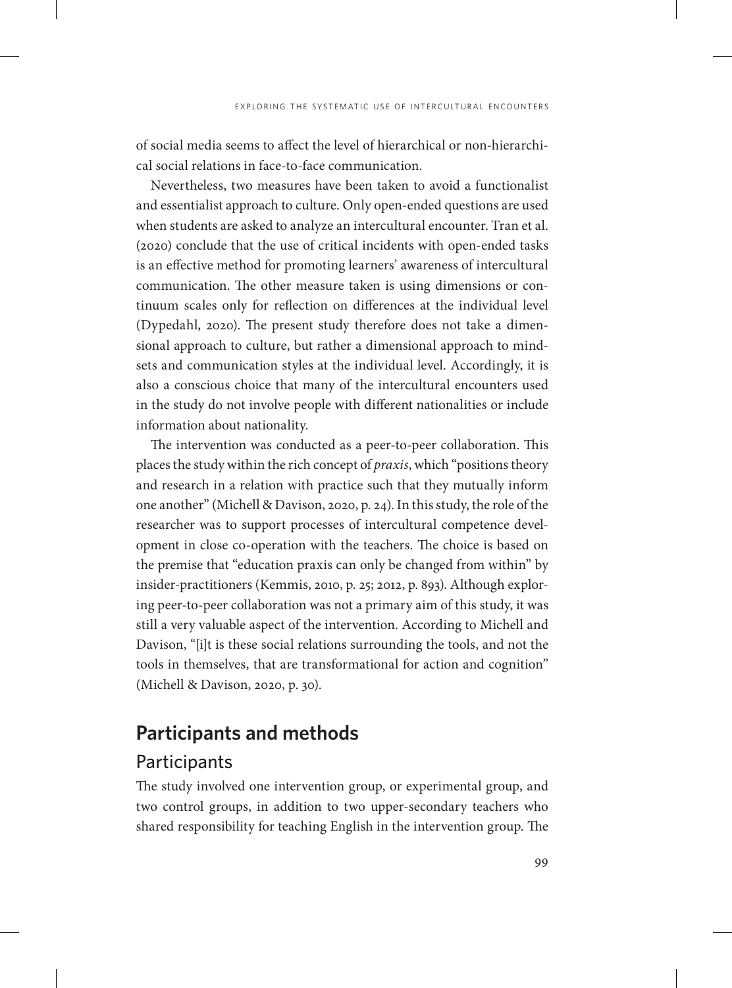of social media seems to affect the level of hierarchical or non-hierarchical social relations in face-to-face communication.

Nevertheless, two measures have been taken to avoid a functionalist and essentialist approach to culture. Only open-ended questions are used when students are asked to analyze an intercultural encounter. Tran et al. (2020) conclude that the use of critical incidents with open-ended tasks is an effective method for promoting learners' awareness of intercultural communication. The other measure taken is using dimensions or continuum scales only for reflection on differences at the individual level (Dypedahl, 2020). The present study therefore does not take a dimensional approach to culture, but rather a dimensional approach to mindsets and communication styles at the individual level. Accordingly, it is also a conscious choice that many of the intercultural encounters used in the study do not involve people with different nationalities or include information about nationality.

The intervention was conducted as a peer-to-peer collaboration. This places the study within the rich concept of *praxis*, which "positions theory and research in a relation with practice such that they mutually inform one another" (Michell & Davison, 2020, p. 24). In this study, the role of the researcher was to support processes of intercultural competence development in close co-operation with the teachers. The choice is based on the premise that "education praxis can only be changed from within" by insider-practitioners (Kemmis, 2010, p. 25; 2012, p. 893). Although exploring peer-to-peer collaboration was not a primary aim of this study, it was still a very valuable aspect of the intervention. According to Michell and Davison, "[i]t is these social relations surrounding the tools, and not the tools in themselves, that are transformational for action and cognition" (Michell & Davison, 2020, p. 30).

# **Participants and methods**

#### **Participants**

The study involved one intervention group, or experimental group, and two control groups, in addition to two upper-secondary teachers who shared responsibility for teaching English in the intervention group. The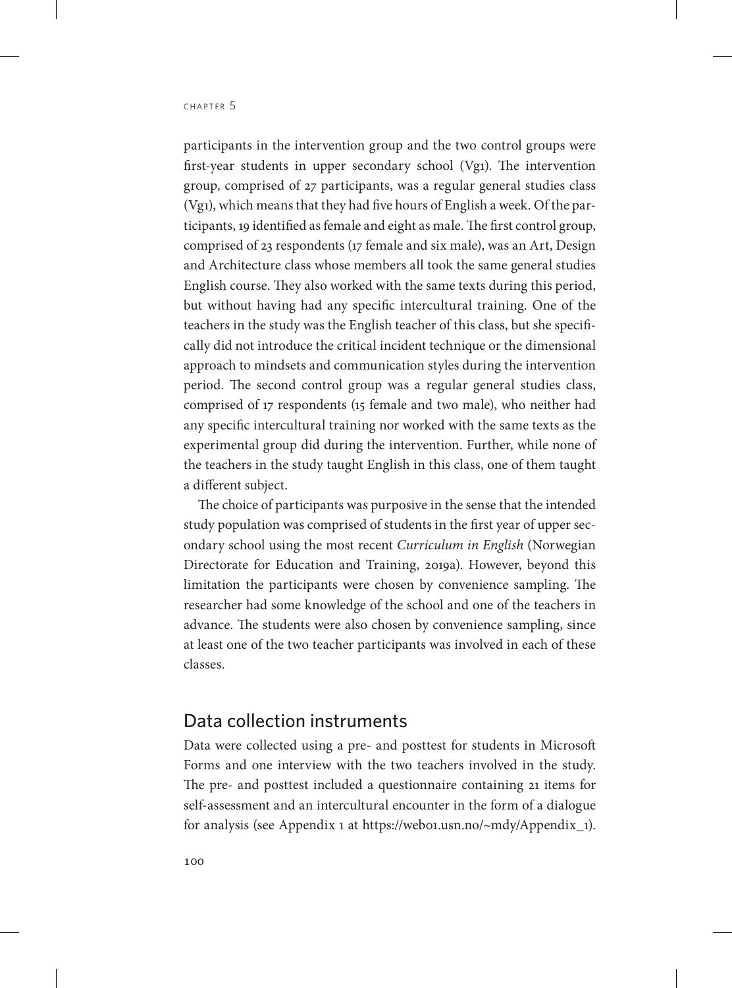participants in the intervention group and the two control groups were first-year students in upper secondary school (Vg1). The intervention group, comprised of 27 participants, was a regular general studies class (Vg1), which means that they had five hours of English a week. Of the participants, 19 identified as female and eight as male. The first control group, comprised of 23 respondents (17 female and six male), was an Art, Design and Architecture class whose members all took the same general studies English course. They also worked with the same texts during this period, but without having had any specific intercultural training. One of the teachers in the study was the English teacher of this class, but she specifically did not introduce the critical incident technique or the dimensional approach to mindsets and communication styles during the intervention period. The second control group was a regular general studies class, comprised of 17 respondents (15 female and two male), who neither had any specific intercultural training nor worked with the same texts as the experimental group did during the intervention. Further, while none of the teachers in the study taught English in this class, one of them taught a different subject.

The choice of participants was purposive in the sense that the intended study population was comprised of students in the first year of upper secondary school using the most recent *Curriculum in English* (Norwegian Directorate for Education and Training, 2019a). However, beyond this limitation the participants were chosen by convenience sampling. The researcher had some knowledge of the school and one of the teachers in advance. The students were also chosen by convenience sampling, since at least one of the two teacher participants was involved in each of these classes.

#### Data collection instruments

Data were collected using a pre- and posttest for students in Microsoft Forms and one interview with the two teachers involved in the study. The pre- and posttest included a questionnaire containing 21 items for self-assessment and an intercultural encounter in the form of a dialogue for analysis (see Appendix 1 at [https://web01.usn.no/~mdy/Appendix\\_1\)](https://web01.usn.no/~mdy/Appendix_1).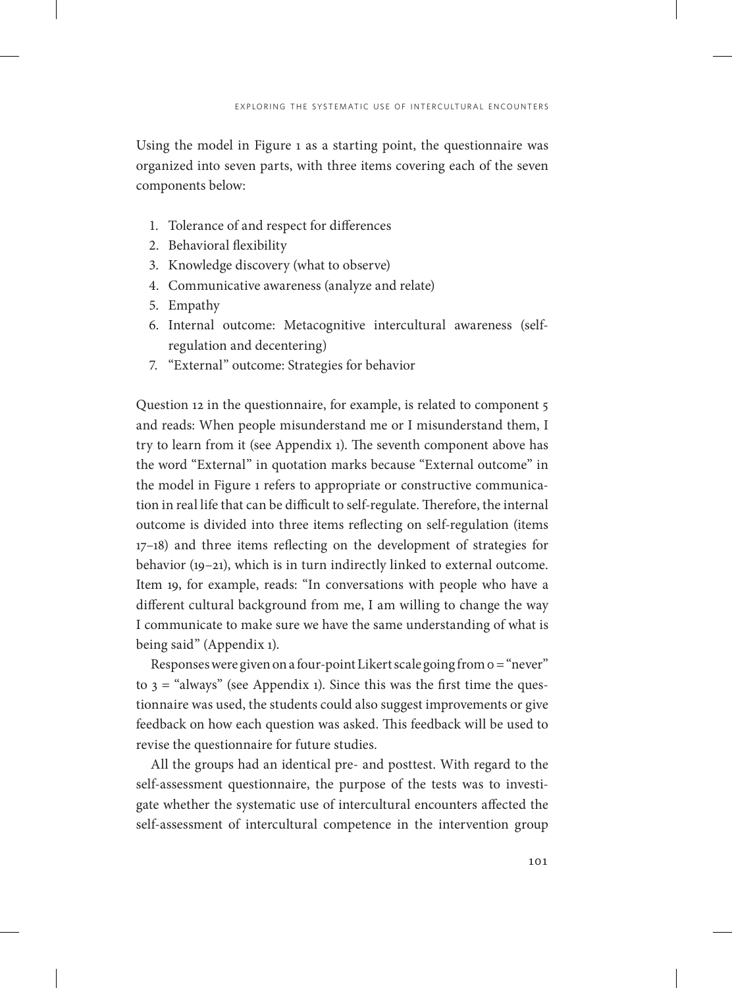Using the model in Figure 1 as a starting point, the questionnaire was organized into seven parts, with three items covering each of the seven components below:

- 1. Tolerance of and respect for differences
- 2. Behavioral flexibility
- 3. Knowledge discovery (what to observe)
- 4. Communicative awareness (analyze and relate)
- 5. Empathy
- 6. Internal outcome: Metacognitive intercultural awareness (selfregulation and decentering)
- 7. "External" outcome: Strategies for behavior

Question 12 in the questionnaire, for example, is related to component 5 and reads: When people misunderstand me or I misunderstand them, I try to learn from it (see Appendix 1). The seventh component above has the word "External" in quotation marks because "External outcome" in the model in Figure 1 refers to appropriate or constructive communication in real life that can be difficult to self-regulate. Therefore, the internal outcome is divided into three items reflecting on self-regulation (items 17–18) and three items reflecting on the development of strategies for behavior (19–21), which is in turn indirectly linked to external outcome. Item 19, for example, reads: "In conversations with people who have a different cultural background from me, I am willing to change the way I communicate to make sure we have the same understanding of what is being said" (Appendix 1).

Responses were given on a four-point Likert scale going from 0 = "never" to  $3 =$  "always" (see Appendix 1). Since this was the first time the questionnaire was used, the students could also suggest improvements or give feedback on how each question was asked. This feedback will be used to revise the questionnaire for future studies.

All the groups had an identical pre- and posttest. With regard to the self-assessment questionnaire, the purpose of the tests was to investigate whether the systematic use of intercultural encounters affected the self-assessment of intercultural competence in the intervention group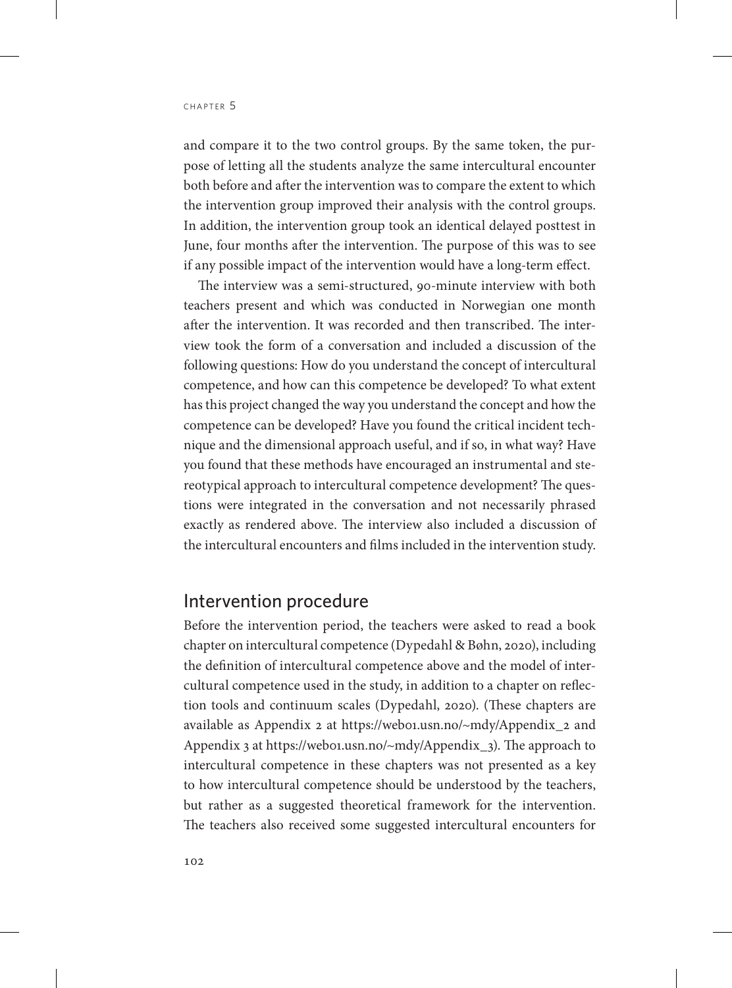and compare it to the two control groups. By the same token, the purpose of letting all the students analyze the same intercultural encounter both before and after the intervention was to compare the extent to which the intervention group improved their analysis with the control groups. In addition, the intervention group took an identical delayed posttest in June, four months after the intervention. The purpose of this was to see if any possible impact of the intervention would have a long-term effect.

The interview was a semi-structured, 90-minute interview with both teachers present and which was conducted in Norwegian one month after the intervention. It was recorded and then transcribed. The interview took the form of a conversation and included a discussion of the following questions: How do you understand the concept of intercultural competence, and how can this competence be developed? To what extent has this project changed the way you understand the concept and how the competence can be developed? Have you found the critical incident technique and the dimensional approach useful, and if so, in what way? Have you found that these methods have encouraged an instrumental and stereotypical approach to intercultural competence development? The questions were integrated in the conversation and not necessarily phrased exactly as rendered above. The interview also included a discussion of the intercultural encounters and films included in the intervention study.

### Intervention procedure

Before the intervention period, the teachers were asked to read a book chapter on intercultural competence (Dypedahl & Bøhn, 2020), including the definition of intercultural competence above and the model of intercultural competence used in the study, in addition to a chapter on reflection tools and continuum scales (Dypedahl, 2020). (These chapters are available as Appendix 2 at [https://web01.usn.no/~mdy/Appendix\\_2](https://web01.usn.no/~mdy/Appendix_2) and Appendix 3 at [https://web01.usn.no/~mdy/Appendix\\_3\)](https://web01.usn.no/~mdy/Appendix_3). The approach to intercultural competence in these chapters was not presented as a key to how intercultural competence should be understood by the teachers, but rather as a suggested theoretical framework for the intervention. The teachers also received some suggested intercultural encounters for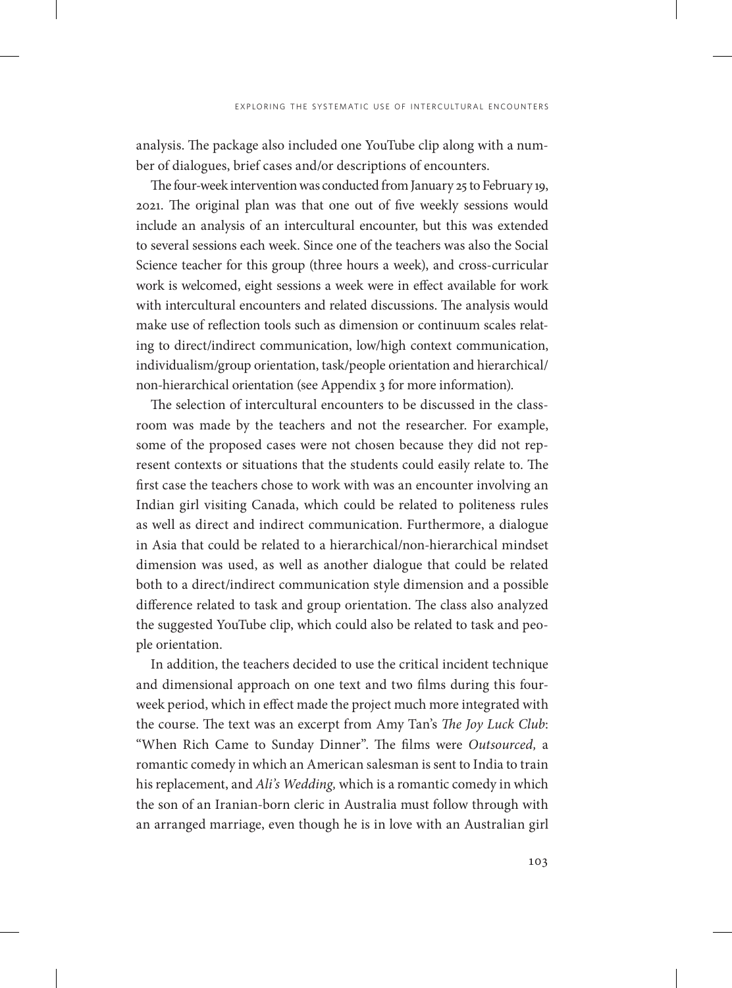analysis. The package also included one YouTube clip along with a number of dialogues, brief cases and/or descriptions of encounters.

The four-week intervention was conducted from January 25 to February 19, 2021. The original plan was that one out of five weekly sessions would include an analysis of an intercultural encounter, but this was extended to several sessions each week. Since one of the teachers was also the Social Science teacher for this group (three hours a week), and cross-curricular work is welcomed, eight sessions a week were in effect available for work with intercultural encounters and related discussions. The analysis would make use of reflection tools such as dimension or continuum scales relating to direct/indirect communication, low/high context communication, individualism/group orientation, task/people orientation and hierarchical/ non-hierarchical orientation (see Appendix 3 for more information).

The selection of intercultural encounters to be discussed in the classroom was made by the teachers and not the researcher. For example, some of the proposed cases were not chosen because they did not represent contexts or situations that the students could easily relate to. The first case the teachers chose to work with was an encounter involving an Indian girl visiting Canada, which could be related to politeness rules as well as direct and indirect communication. Furthermore, a dialogue in Asia that could be related to a hierarchical/non-hierarchical mindset dimension was used, as well as another dialogue that could be related both to a direct/indirect communication style dimension and a possible difference related to task and group orientation. The class also analyzed the suggested YouTube clip, which could also be related to task and people orientation.

In addition, the teachers decided to use the critical incident technique and dimensional approach on one text and two films during this fourweek period, which in effect made the project much more integrated with the course. The text was an excerpt from Amy Tan's *The Joy Luck Club*: "When Rich Came to Sunday Dinner". The films were *Outsourced,* a romantic comedy in which an American salesman is sent to India to train his replacement, and *Ali's Wedding,* which is a romantic comedy in which the son of an Iranian-born cleric in Australia must follow through with an arranged marriage, even though he is in love with an Australian girl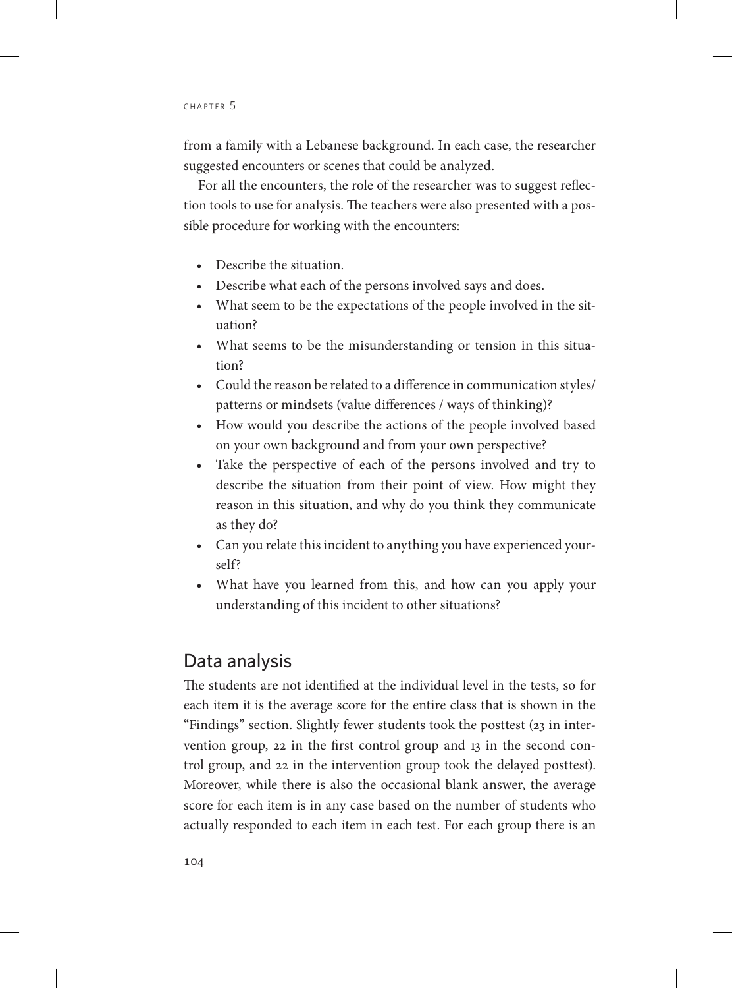from a family with a Lebanese background. In each case, the researcher suggested encounters or scenes that could be analyzed.

For all the encounters, the role of the researcher was to suggest reflection tools to use for analysis. The teachers were also presented with a possible procedure for working with the encounters:

- Describe the situation.
- Describe what each of the persons involved says and does.
- What seem to be the expectations of the people involved in the situation?
- What seems to be the misunderstanding or tension in this situation?
- Could the reason be related to a difference in communication styles/ patterns or mindsets (value differences / ways of thinking)?
- How would you describe the actions of the people involved based on your own background and from your own perspective?
- Take the perspective of each of the persons involved and try to describe the situation from their point of view. How might they reason in this situation, and why do you think they communicate as they do?
- Can you relate this incident to anything you have experienced yourself?
- What have you learned from this, and how can you apply your understanding of this incident to other situations?

# Data analysis

The students are not identified at the individual level in the tests, so for each item it is the average score for the entire class that is shown in the "Findings" section. Slightly fewer students took the posttest (23 in intervention group, 22 in the first control group and 13 in the second control group, and 22 in the intervention group took the delayed posttest). Moreover, while there is also the occasional blank answer, the average score for each item is in any case based on the number of students who actually responded to each item in each test. For each group there is an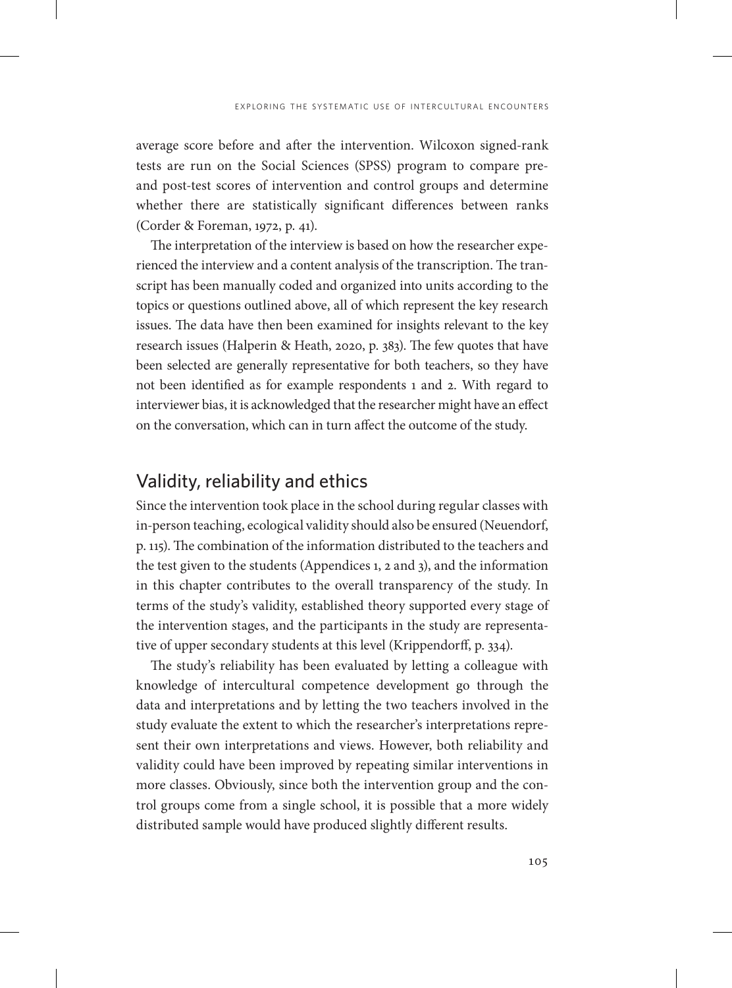average score before and after the intervention. Wilcoxon signed-rank tests are run on the Social Sciences (SPSS) program to compare preand post-test scores of intervention and control groups and determine whether there are statistically significant differences between ranks (Corder & Foreman, 1972, p. 41).

The interpretation of the interview is based on how the researcher experienced the interview and a content analysis of the transcription. The transcript has been manually coded and organized into units according to the topics or questions outlined above, all of which represent the key research issues. The data have then been examined for insights relevant to the key research issues (Halperin & Heath, 2020, p. 383). The few quotes that have been selected are generally representative for both teachers, so they have not been identified as for example respondents 1 and 2. With regard to interviewer bias, it is acknowledged that the researcher might have an effect on the conversation, which can in turn affect the outcome of the study.

# Validity, reliability and ethics

Since the intervention took place in the school during regular classes with in-person teaching, ecological validity should also be ensured (Neuendorf, p. 115). The combination of the information distributed to the teachers and the test given to the students (Appendices 1, 2 and 3), and the information in this chapter contributes to the overall transparency of the study. In terms of the study's validity, established theory supported every stage of the intervention stages, and the participants in the study are representative of upper secondary students at this level (Krippendorff, p. 334).

The study's reliability has been evaluated by letting a colleague with knowledge of intercultural competence development go through the data and interpretations and by letting the two teachers involved in the study evaluate the extent to which the researcher's interpretations represent their own interpretations and views. However, both reliability and validity could have been improved by repeating similar interventions in more classes. Obviously, since both the intervention group and the control groups come from a single school, it is possible that a more widely distributed sample would have produced slightly different results.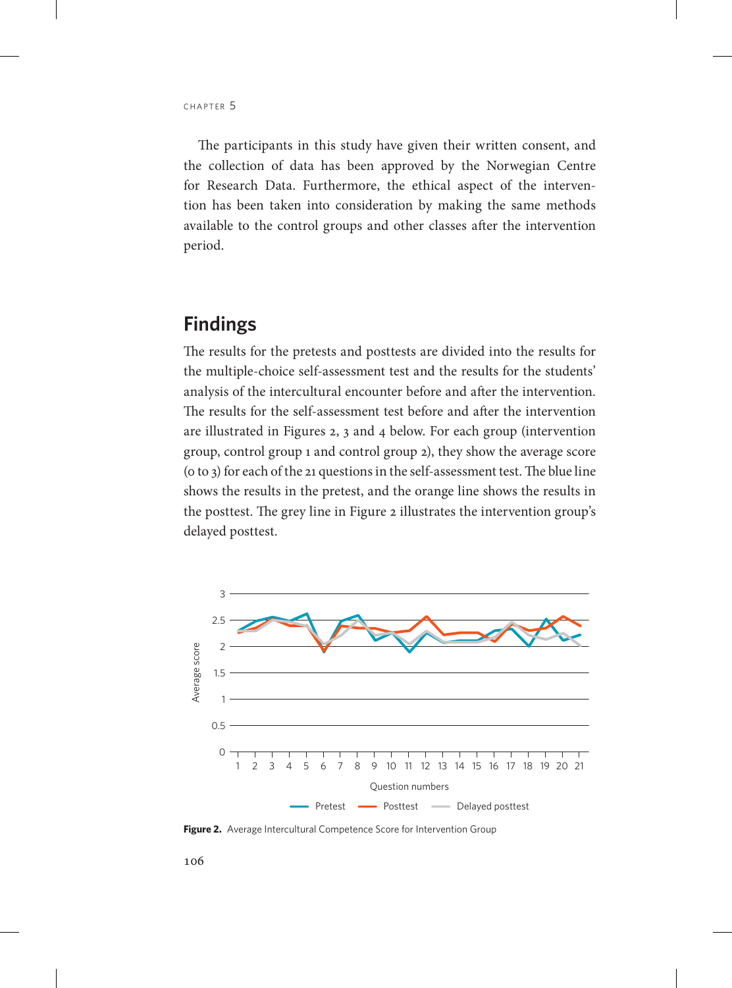The participants in this study have given their written consent, and the collection of data has been approved by the Norwegian Centre for Research Data. Furthermore, the ethical aspect of the intervention has been taken into consideration by making the same methods available to the control groups and other classes after the intervention period.

# **Findings**

The results for the pretests and posttests are divided into the results for the multiple-choice self-assessment test and the results for the students' analysis of the intercultural encounter before and after the intervention. The results for the self-assessment test before and after the intervention are illustrated in Figures 2, 3 and 4 below. For each group (intervention group, control group 1 and control group 2), they show the average score (0 to 3) for each of the 21 questions in the self-assessment test. The blue line shows the results in the pretest, and the orange line shows the results in the posttest. The grey line in Figure 2 illustrates the intervention group's delayed posttest.



**Figure 2.** Average Intercultural Competence Score for Intervention Group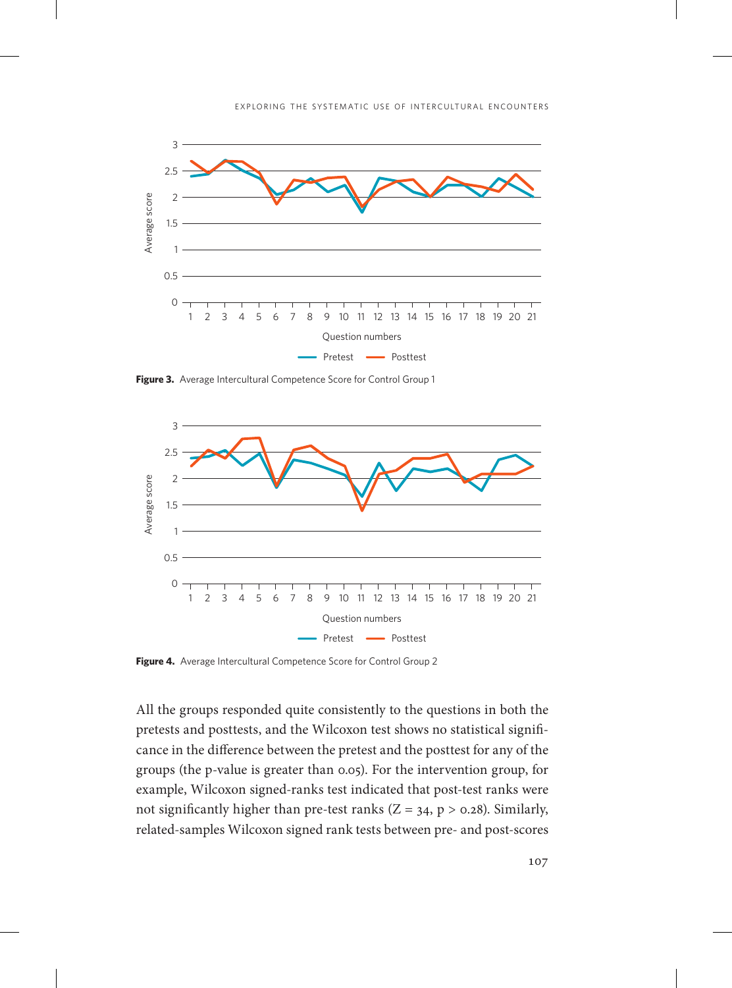

Figure 3. Average Intercultural Competence Score for Control Group 1



Figure 4. Average Intercultural Competence Score for Control Group 2

All the groups responded quite consistently to the questions in both the pretests and posttests, and the Wilcoxon test shows no statistical significance in the difference between the pretest and the posttest for any of the groups (the p-value is greater than 0.05). For the intervention group, for example, Wilcoxon signed-ranks test indicated that post-test ranks were not significantly higher than pre-test ranks ( $Z = 34$ ,  $p > 0.28$ ). Similarly, related-samples Wilcoxon signed rank tests between pre- and post-scores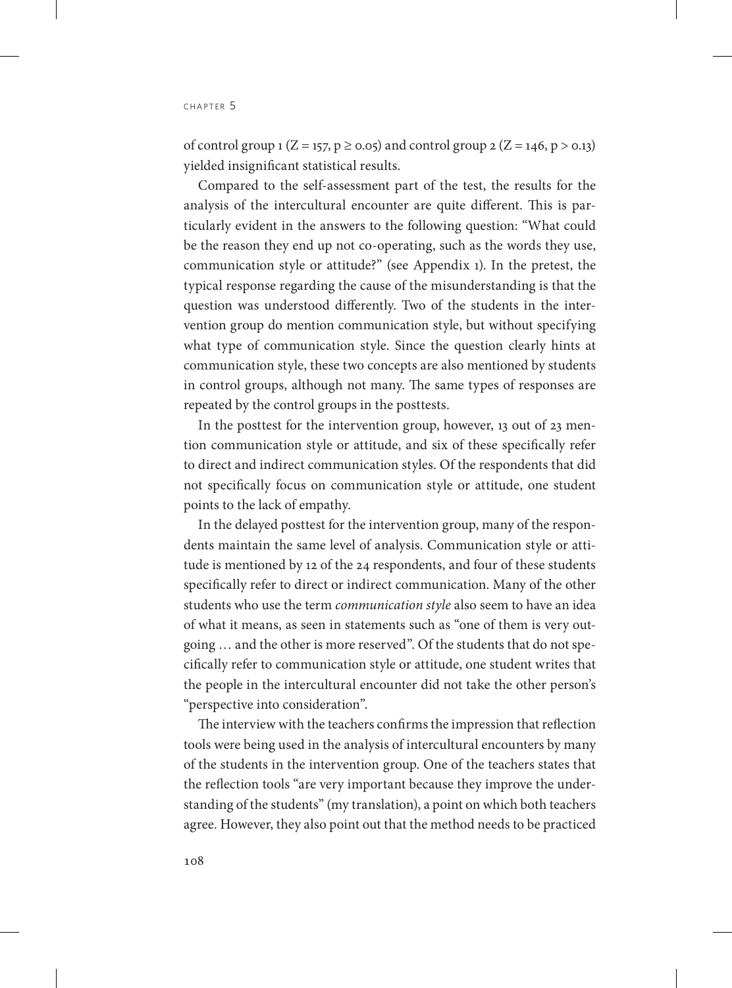of control group 1 ( $Z = 157$ ,  $p \ge 0.05$ ) and control group 2 ( $Z = 146$ ,  $p > 0.13$ ) yielded insignificant statistical results.

Compared to the self-assessment part of the test, the results for the analysis of the intercultural encounter are quite different. This is particularly evident in the answers to the following question: "What could be the reason they end up not co-operating, such as the words they use, communication style or attitude?" (see Appendix 1). In the pretest, the typical response regarding the cause of the misunderstanding is that the question was understood differently. Two of the students in the intervention group do mention communication style, but without specifying what type of communication style. Since the question clearly hints at communication style, these two concepts are also mentioned by students in control groups, although not many. The same types of responses are repeated by the control groups in the posttests.

In the posttest for the intervention group, however, 13 out of 23 mention communication style or attitude, and six of these specifically refer to direct and indirect communication styles. Of the respondents that did not specifically focus on communication style or attitude, one student points to the lack of empathy.

In the delayed posttest for the intervention group, many of the respondents maintain the same level of analysis. Communication style or attitude is mentioned by 12 of the 24 respondents, and four of these students specifically refer to direct or indirect communication. Many of the other students who use the term *communication style* also seem to have an idea of what it means, as seen in statements such as "one of them is very outgoing … and the other is more reserved". Of the students that do not specifically refer to communication style or attitude, one student writes that the people in the intercultural encounter did not take the other person's "perspective into consideration".

The interview with the teachers confirms the impression that reflection tools were being used in the analysis of intercultural encounters by many of the students in the intervention group. One of the teachers states that the reflection tools "are very important because they improve the understanding of the students" (my translation), a point on which both teachers agree. However, they also point out that the method needs to be practiced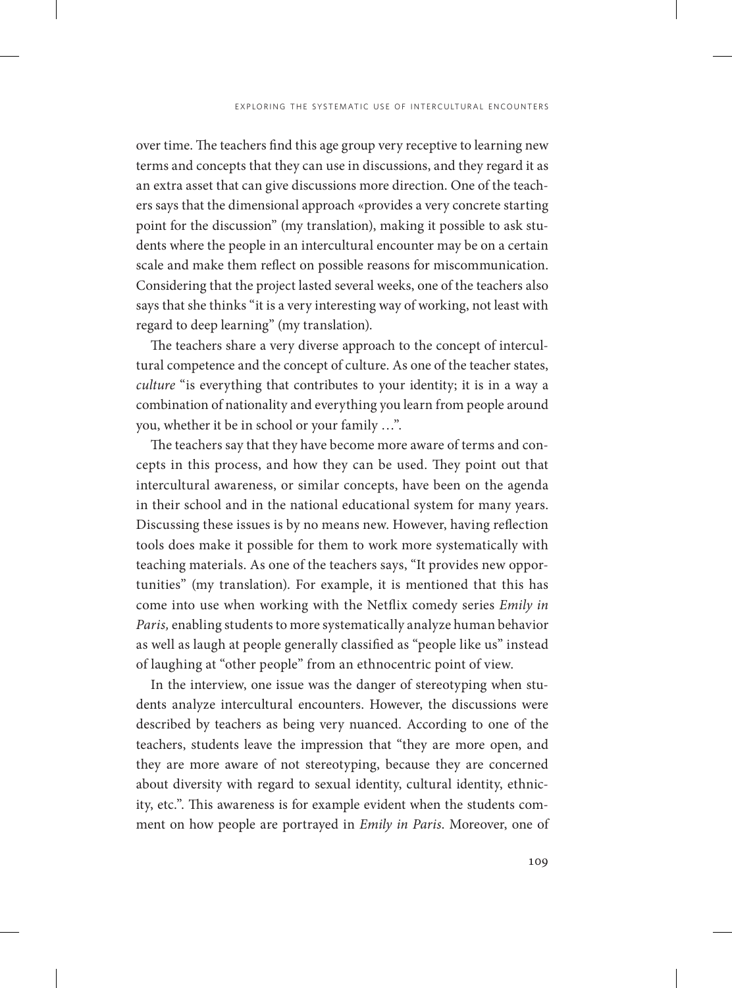over time. The teachers find this age group very receptive to learning new terms and concepts that they can use in discussions, and they regard it as an extra asset that can give discussions more direction. One of the teachers says that the dimensional approach «provides a very concrete starting point for the discussion" (my translation), making it possible to ask students where the people in an intercultural encounter may be on a certain scale and make them reflect on possible reasons for miscommunication. Considering that the project lasted several weeks, one of the teachers also says that she thinks "it is a very interesting way of working, not least with regard to deep learning" (my translation).

The teachers share a very diverse approach to the concept of intercultural competence and the concept of culture. As one of the teacher states, *culture* "is everything that contributes to your identity; it is in a way a combination of nationality and everything you learn from people around you, whether it be in school or your family …".

The teachers say that they have become more aware of terms and concepts in this process, and how they can be used. They point out that intercultural awareness, or similar concepts, have been on the agenda in their school and in the national educational system for many years. Discussing these issues is by no means new. However, having reflection tools does make it possible for them to work more systematically with teaching materials. As one of the teachers says, "It provides new opportunities" (my translation). For example, it is mentioned that this has come into use when working with the Netflix comedy series *Emily in Paris,* enabling students to more systematically analyze human behavior as well as laugh at people generally classified as "people like us" instead of laughing at "other people" from an ethnocentric point of view.

In the interview, one issue was the danger of stereotyping when students analyze intercultural encounters. However, the discussions were described by teachers as being very nuanced. According to one of the teachers, students leave the impression that "they are more open, and they are more aware of not stereotyping, because they are concerned about diversity with regard to sexual identity, cultural identity, ethnicity, etc.". This awareness is for example evident when the students comment on how people are portrayed in *Emily in Paris*. Moreover, one of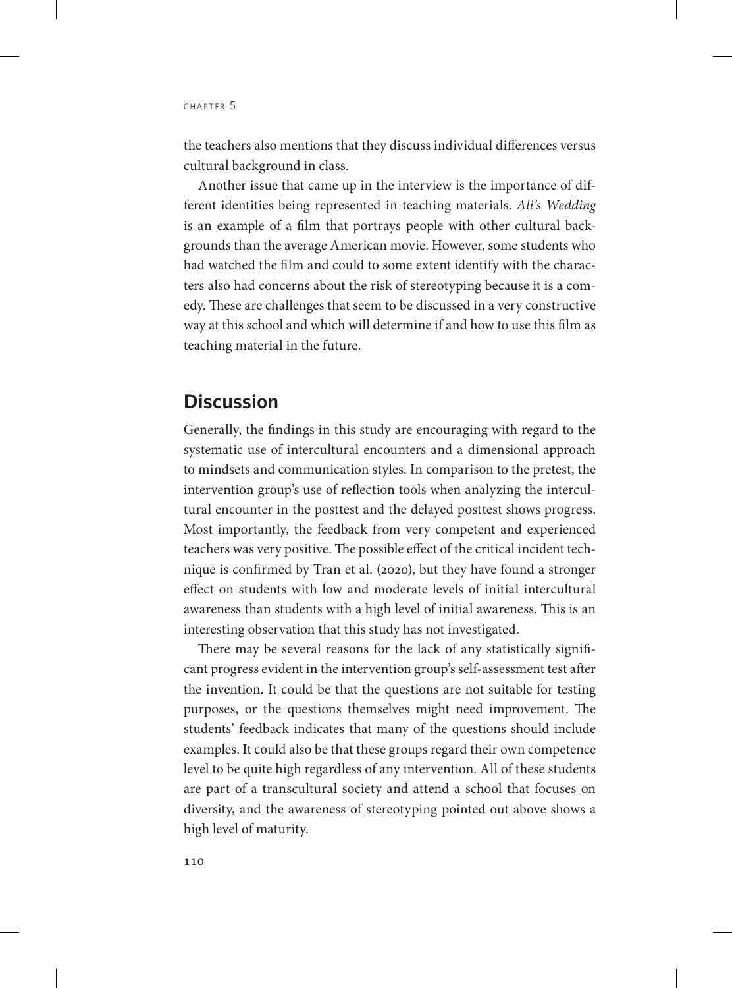the teachers also mentions that they discuss individual differences versus cultural background in class.

Another issue that came up in the interview is the importance of different identities being represented in teaching materials. *Ali's Wedding* is an example of a film that portrays people with other cultural backgrounds than the average American movie. However, some students who had watched the film and could to some extent identify with the characters also had concerns about the risk of stereotyping because it is a comedy. These are challenges that seem to be discussed in a very constructive way at this school and which will determine if and how to use this film as teaching material in the future.

# **Discussion**

Generally, the findings in this study are encouraging with regard to the systematic use of intercultural encounters and a dimensional approach to mindsets and communication styles. In comparison to the pretest, the intervention group's use of reflection tools when analyzing the intercultural encounter in the posttest and the delayed posttest shows progress. Most importantly, the feedback from very competent and experienced teachers was very positive. The possible effect of the critical incident technique is confirmed by Tran et al. (2020), but they have found a stronger effect on students with low and moderate levels of initial intercultural awareness than students with a high level of initial awareness. This is an interesting observation that this study has not investigated.

There may be several reasons for the lack of any statistically significant progress evident in the intervention group's self-assessment test after the invention. It could be that the questions are not suitable for testing purposes, or the questions themselves might need improvement. The students' feedback indicates that many of the questions should include examples. It could also be that these groups regard their own competence level to be quite high regardless of any intervention. All of these students are part of a transcultural society and attend a school that focuses on diversity, and the awareness of stereotyping pointed out above shows a high level of maturity.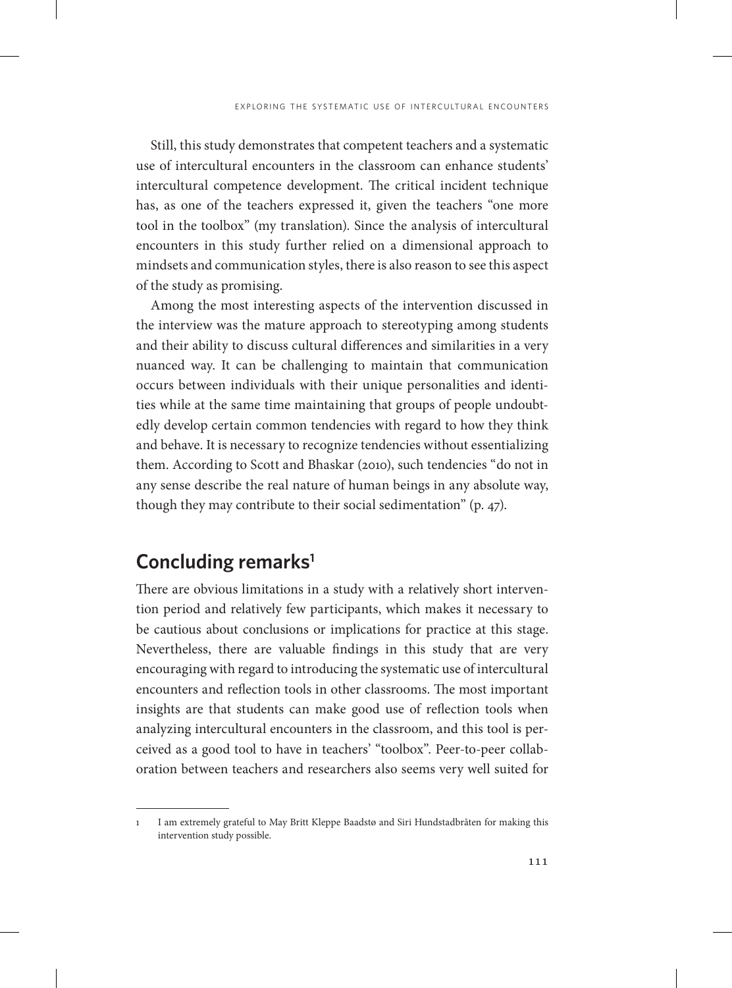Still, this study demonstrates that competent teachers and a systematic use of intercultural encounters in the classroom can enhance students' intercultural competence development. The critical incident technique has, as one of the teachers expressed it, given the teachers "one more tool in the toolbox" (my translation). Since the analysis of intercultural encounters in this study further relied on a dimensional approach to mindsets and communication styles, there is also reason to see this aspect of the study as promising.

Among the most interesting aspects of the intervention discussed in the interview was the mature approach to stereotyping among students and their ability to discuss cultural differences and similarities in a very nuanced way. It can be challenging to maintain that communication occurs between individuals with their unique personalities and identities while at the same time maintaining that groups of people undoubtedly develop certain common tendencies with regard to how they think and behave. It is necessary to recognize tendencies without essentializing them. According to Scott and Bhaskar (2010), such tendencies "do not in any sense describe the real nature of human beings in any absolute way, though they may contribute to their social sedimentation" (p. 47).

# **Concluding remarks1**

There are obvious limitations in a study with a relatively short intervention period and relatively few participants, which makes it necessary to be cautious about conclusions or implications for practice at this stage. Nevertheless, there are valuable findings in this study that are very encouraging with regard to introducing the systematic use of intercultural encounters and reflection tools in other classrooms. The most important insights are that students can make good use of reflection tools when analyzing intercultural encounters in the classroom, and this tool is perceived as a good tool to have in teachers' "toolbox". Peer-to-peer collaboration between teachers and researchers also seems very well suited for

<sup>1</sup> I am extremely grateful to May Britt Kleppe Baadstø and Siri Hundstadbråten for making this intervention study possible.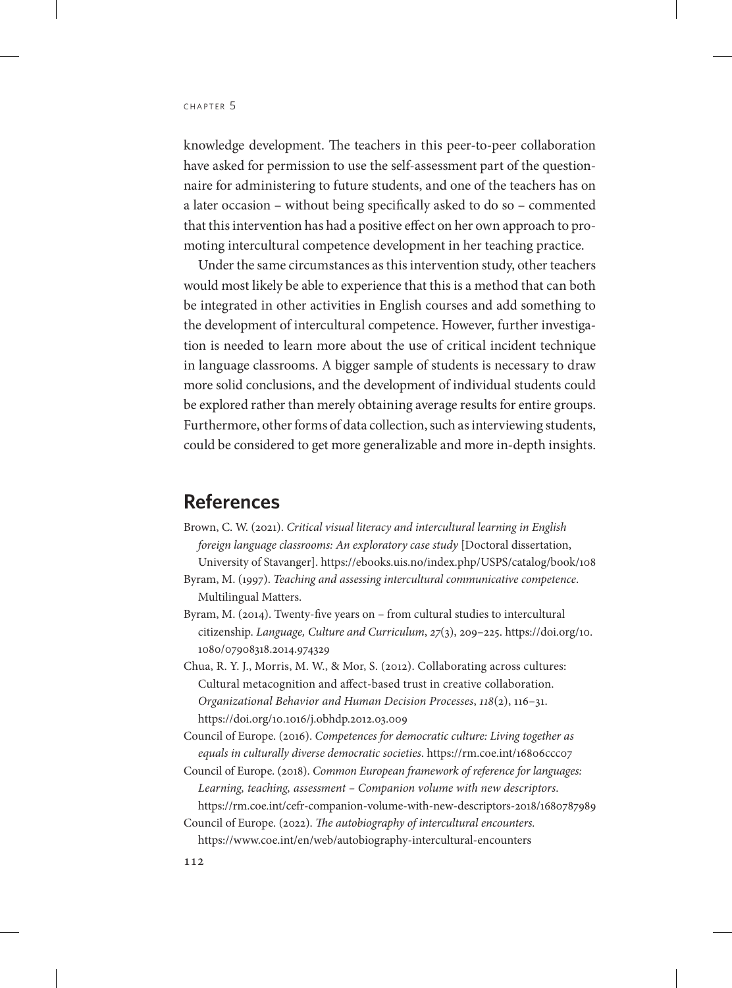knowledge development. The teachers in this peer-to-peer collaboration have asked for permission to use the self-assessment part of the questionnaire for administering to future students, and one of the teachers has on a later occasion – without being specifically asked to do so – commented that this intervention has had a positive effect on her own approach to promoting intercultural competence development in her teaching practice.

Under the same circumstances as this intervention study, other teachers would most likely be able to experience that this is a method that can both be integrated in other activities in English courses and add something to the development of intercultural competence. However, further investigation is needed to learn more about the use of critical incident technique in language classrooms. A bigger sample of students is necessary to draw more solid conclusions, and the development of individual students could be explored rather than merely obtaining average results for entire groups. Furthermore, other forms of data collection, such as interviewing students, could be considered to get more generalizable and more in-depth insights.

#### **References**

- Brown, C. W. (2021). *Critical visual literacy and intercultural learning in English foreign language classrooms: An exploratory case study* [Doctoral dissertation, University of Stavanger]. <https://ebooks.uis.no/index.php/USPS/catalog/book/108>
- Byram, M. (1997). *Teaching and assessing intercultural communicative competence*. Multilingual Matters.
- Byram, M. (2014). Twenty-five years on from cultural studies to intercultural citizenship. *Language, Culture and Curriculum*, *27*(3), 209–225. [https://doi.org/10.](https://doi.org/10.1080/07908318.2014.974329) [1080/07908318.2014.974329](https://doi.org/10.1080/07908318.2014.974329)
- Chua, R. Y. J., Morris, M. W., & Mor, S. (2012). Collaborating across cultures: Cultural metacognition and affect-based trust in creative collaboration. *Organizational Behavior and Human Decision Processes*, *118*(2), 116–31. <https://doi.org/10.1016/j.obhdp.2012.03.009>
- Council of Europe. (2016). *Competences for democratic culture: Living together as equals in culturally diverse democratic societies*.<https://rm.coe.int/16806ccc07>
- Council of Europe. (2018). *Common European framework of reference for languages: Learning, teaching, assessment – Companion volume with new descriptors*. <https://rm.coe.int/cefr-companion-volume-with-new-descriptors-2018/1680787989>
- Council of Europe. (2022). *The autobiography of intercultural encounters.*  <https://www.coe.int/en/web/autobiography-intercultural-encounters>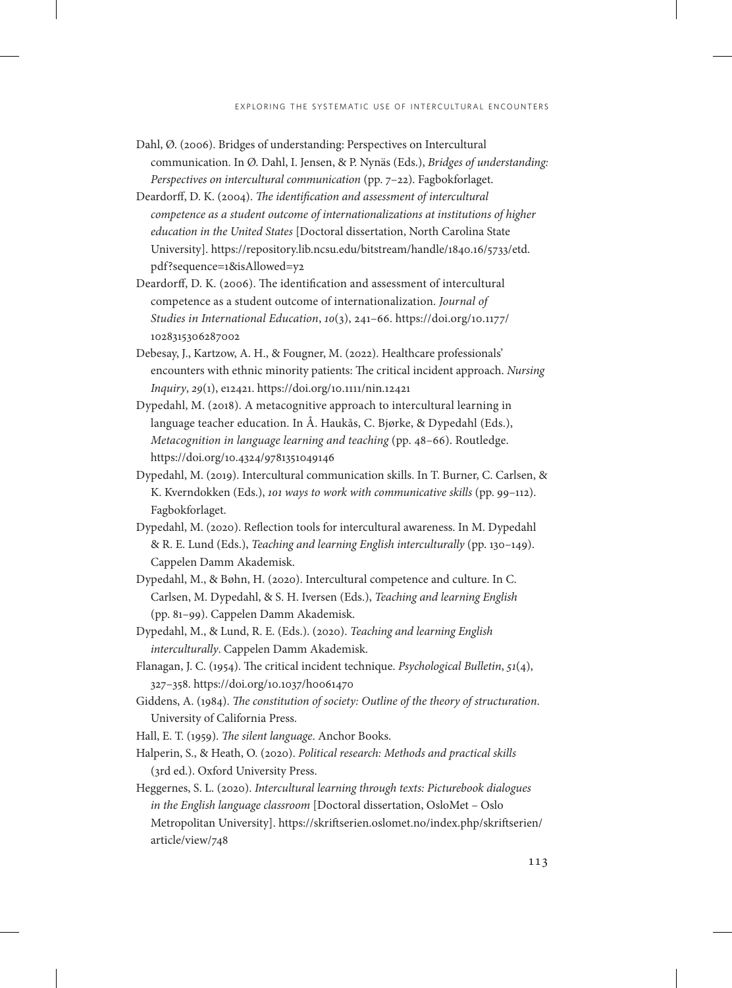- Dahl, Ø. (2006). Bridges of understanding: Perspectives on Intercultural communication. In Ø. Dahl, I. Jensen, & P. Nynäs (Eds.), *Bridges of understanding: Perspectives on intercultural communication* (pp. 7–22). Fagbokforlaget.
- Deardorff, D. K. (2004). *The identification and assessment of intercultural competence as a student outcome of internationalizations at institutions of higher education in the United States* [Doctoral dissertation, North Carolina State University]. [https://repository.lib.ncsu.edu/bitstream/handle/1840.16/5733/etd.](https://repository.lib.ncsu.edu/bitstream/handle/1840.16/5733/etd.pdf?sequence=1&isAllowed=y2) [pdf?sequence=1&isAllowed=y2](https://repository.lib.ncsu.edu/bitstream/handle/1840.16/5733/etd.pdf?sequence=1&isAllowed=y2)
- Deardorff, D. K. (2006). The identification and assessment of intercultural competence as a student outcome of internationalization. *Journal of Studies in International Education*, *10*(3), 241–66. [https://doi.org/10.1177/](https://doi.org/10.1177/1028315306287002) [1028315306287002](https://doi.org/10.1177/1028315306287002)
- Debesay, J., Kartzow, A. H., & Fougner, M. (2022). Healthcare professionals' encounters with ethnic minority patients: The critical incident approach. *Nursing Inquiry*, *29*(1), e12421. https://doi.org/10.1111/nin.12421
- Dypedahl, M. (2018). A metacognitive approach to intercultural learning in language teacher education. In Å. Haukås, C. Bjørke, & Dypedahl (Eds.), *Metacognition in language learning and teaching* (pp. 48–66). Routledge. <https://doi.org/10.4324/9781351049146>
- Dypedahl, M. (2019). Intercultural communication skills. In T. Burner, C. Carlsen, & K. Kverndokken (Eds.), *101 ways to work with communicative skills* (pp. 99–112). Fagbokforlaget.
- Dypedahl, M. (2020). Reflection tools for intercultural awareness. In M. Dypedahl & R. E. Lund (Eds.), *Teaching and learning English interculturally* (pp. 130–149). Cappelen Damm Akademisk.
- Dypedahl, M., & Bøhn, H. (2020). Intercultural competence and culture. In C. Carlsen, M. Dypedahl, & S. H. Iversen (Eds.), *Teaching and learning English*  (pp. 81–99). Cappelen Damm Akademisk.
- Dypedahl, M., & Lund, R. E. (Eds.). (2020). *Teaching and learning English interculturally*. Cappelen Damm Akademisk.
- Flanagan, J. C. (1954). The critical incident technique. *Psychological Bulletin*, *51*(4), 327–358.<https://doi.org/10.1037/h0061470>
- Giddens, A. (1984). *The constitution of society: Outline of the theory of structuration*. University of California Press.
- Hall, E. T. (1959). *The silent language*. Anchor Books.
- Halperin, S., & Heath, O. (2020). *Political research: Methods and practical skills* (3rd ed.). Oxford University Press.
- Heggernes, S. L. (2020). *Intercultural learning through texts: Picturebook dialogues in the English language classroom* [Doctoral dissertation, OsloMet – Oslo Metropolitan University]. [https://skriftserien.oslomet.no/index.php/skriftserien/](https://skriftserien.oslomet.no/index.php/skriftserien/article/view/748) [article/view/748](https://skriftserien.oslomet.no/index.php/skriftserien/article/view/748)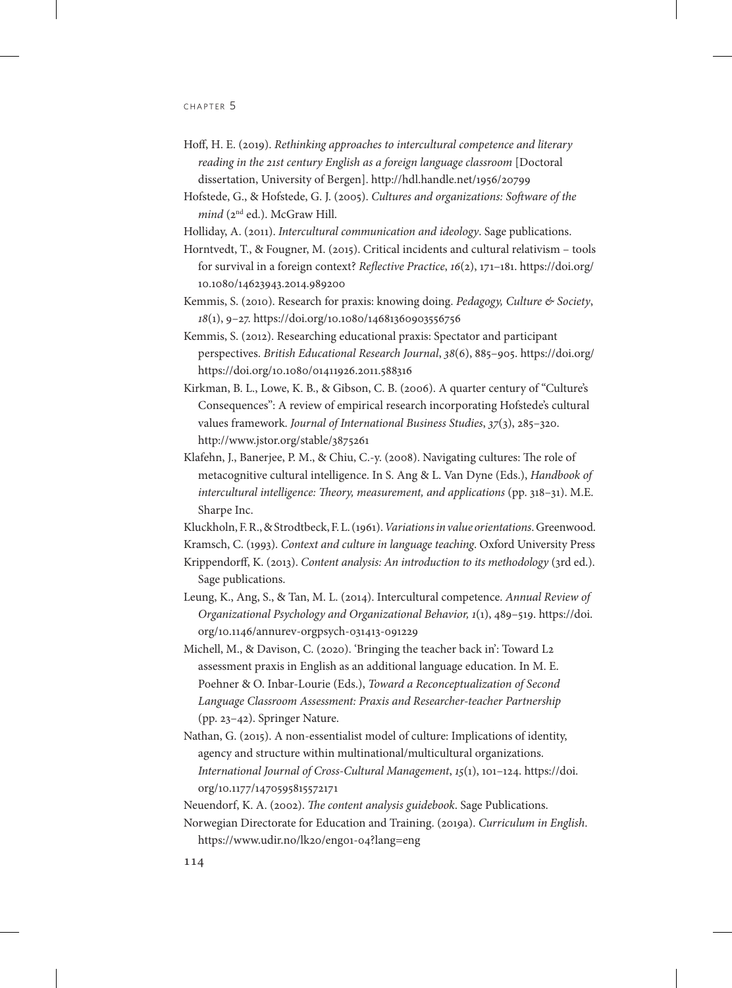- Hoff, H. E. (2019). *Rethinking approaches to intercultural competence and literary reading in the 21st century English as a foreign language classroom* [Doctoral dissertation, University of Bergen].<http://hdl.handle.net/1956/20799>
- Hofstede, G., & Hofstede, G. J. (2005). *Cultures and organizations: Software of the mind* (2<sup>nd</sup> ed.). McGraw Hill.
- Holliday, A. (2011). *Intercultural communication and ideology*. Sage publications.
- Horntvedt, T., & Fougner, M. (2015). Critical incidents and cultural relativism tools for survival in a foreign context? *Reflective Practice*, *16*(2), 171–181. [https://doi.org/](https://doi.org/10.1080/14623943.2014.989200) [10.1080/14623943.2014.989200](https://doi.org/10.1080/14623943.2014.989200)
- Kemmis, S. (2010). Research for praxis: knowing doing. *Pedagogy, Culture & Society*, *18*(1), 9–27. <https://doi.org/10.1080/14681360903556756>
- Kemmis, S. (2012). Researching educational praxis: Spectator and participant perspectives. *British Educational Research Journal*, *38*(6), 885–905. [https://doi.org/](https://doi.org/10.1080/01411926.2011.588316) <https://doi.org/10.1080/01411926.2011.588316>
- Kirkman, B. L., Lowe, K. B., & Gibson, C. B. (2006). A quarter century of "Culture's Consequences": A review of empirical research incorporating Hofstede's cultural values framework. *Journal of International Business Studies*, *37*(3), 285–320. http://www.jstor.org/stable/3875261
- Klafehn, J., Banerjee, P. M., & Chiu, C.-y. (2008). Navigating cultures: The role of metacognitive cultural intelligence. In S. Ang & L. Van Dyne (Eds.), *Handbook of intercultural intelligence: Theory, measurement, and applications* (pp. 318–31). M.E. Sharpe Inc.

Kluckholn, F. R., & Strodtbeck, F. L. (1961). *Variations in value orientations*. Greenwood.

Kramsch, C. (1993). *Context and culture in language teaching*. Oxford University Press

- Krippendorff, K. (2013). *Content analysis: An introduction to its methodology* (3rd ed.). Sage publications.
- Leung, K., Ang, S., & Tan, M. L. (2014). Intercultural competence. *Annual Review of Organizational Psychology and Organizational Behavior, 1*(1), 489–519. [https://doi.](https://doi.org/10.1146/annurev-orgpsych-031413-091229) [org/10.1146/annurev-orgpsych-031413-091229](https://doi.org/10.1146/annurev-orgpsych-031413-091229)
- Michell, M., & Davison, C. (2020). 'Bringing the teacher back in': Toward L2 assessment praxis in English as an additional language education. In M. E. Poehner & O. Inbar-Lourie (Eds.), *Toward a Reconceptualization of Second Language Classroom Assessment: Praxis and Researcher-teacher Partnership* (pp. 23–42). Springer Nature.
- Nathan, G. (2015). A non-essentialist model of culture: Implications of identity, agency and structure within multinational/multicultural organizations. *International Journal of Cross-Cultural Management*, *15*(1), 101–124. [https://doi.](https://doi.org/10.1177/1470595815572171) [org/10.1177/1470595815572171](https://doi.org/10.1177/1470595815572171)
- Neuendorf, K. A. (2002). *The content analysis guidebook*. Sage Publications.
- Norwegian Directorate for Education and Training. (2019a). *Curriculum in English*. <https://www.udir.no/lk20/eng01-04?lang=eng>